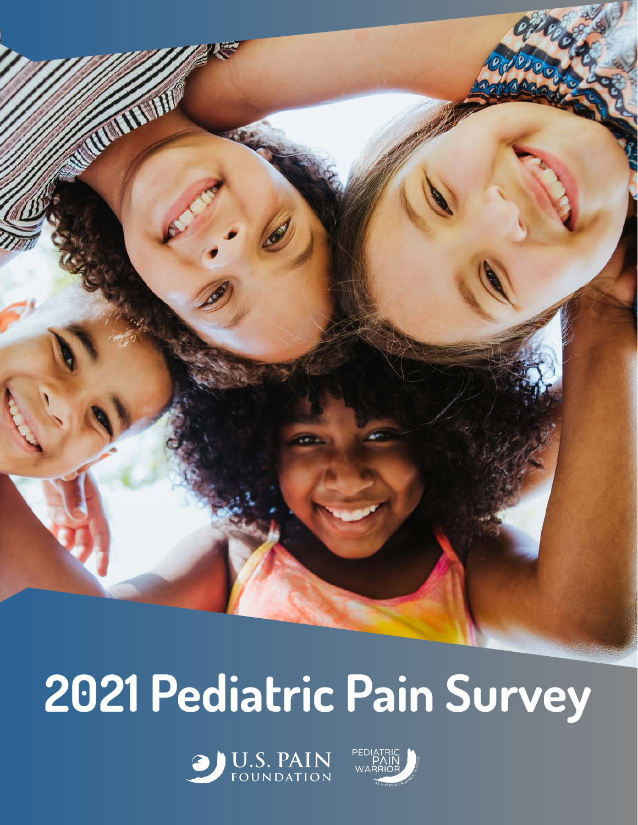

# **2021 Pediatric Pain Survey**



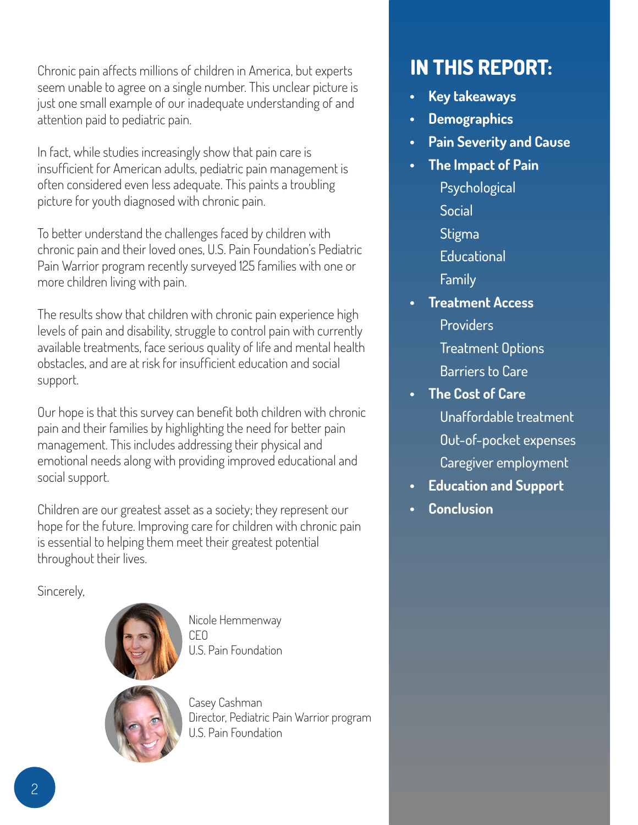Chronic pain affects millions of children in America, but experts seem unable to agree on a single number. This unclear picture is just one small example of our inadequate understanding of and attention paid to pediatric pain.

In fact, while studies increasingly show that pain care is insufficient for American adults, pediatric pain management is often considered even less adequate. This paints a troubling picture for youth diagnosed with chronic pain.

To better understand the challenges faced by children with chronic pain and their loved ones, U.S. Pain Foundation's Pediatric Pain Warrior program recently surveyed 125 families with one or more children living with pain.

The results show that children with chronic pain experience high levels of pain and disability, struggle to control pain with currently available treatments, face serious quality of life and mental health obstacles, and are at risk for insufficient education and social support.

Our hope is that this survey can benefit both children with chronic pain and their families by highlighting the need for better pain management. This includes addressing their physical and emotional needs along with providing improved educational and social support.

Children are our greatest asset as a society; they represent our hope for the future. Improving care for children with chronic pain is essential to helping them meet their greatest potential throughout their lives.

Sincerely,



Nicole Hemmenway CEO U.S. Pain Foundation



Casey Cashman Director, Pediatric Pain Warrior program U.S. Pain Foundation

# **IN THIS REPORT:**

- **• Key takeaways**
- **• Demographics**
- **• Pain Severity and Cause**
- **• The Impact of Pain** 
	- Psychological
	- Social
	- Stigma
	- **Educational**
	- Family
- **• Treatment Access Providers** 
	- Treatment Options

Barriers to Care

- **• The Cost of Care** Unaffordable treatment Out-of-pocket expenses Caregiver employment
- **• Education and Support**
- **• Conclusion**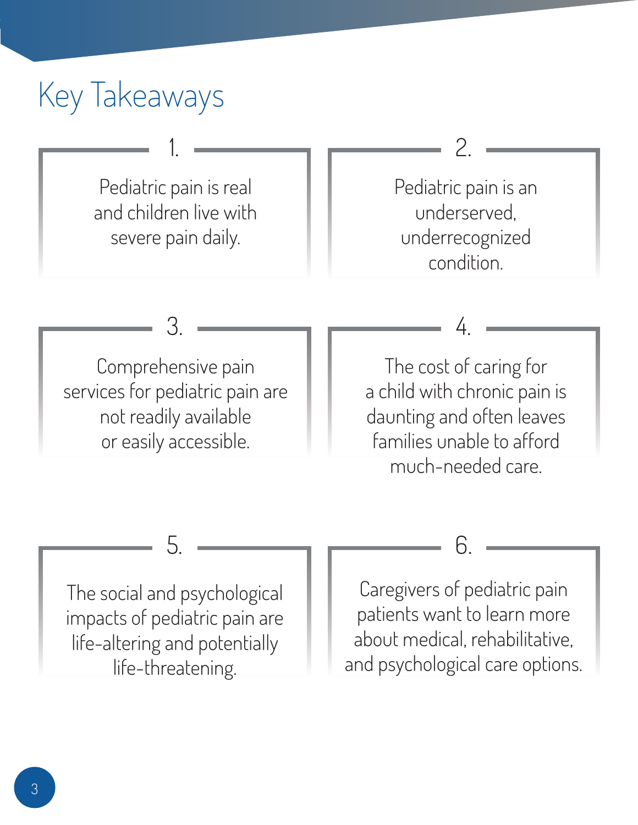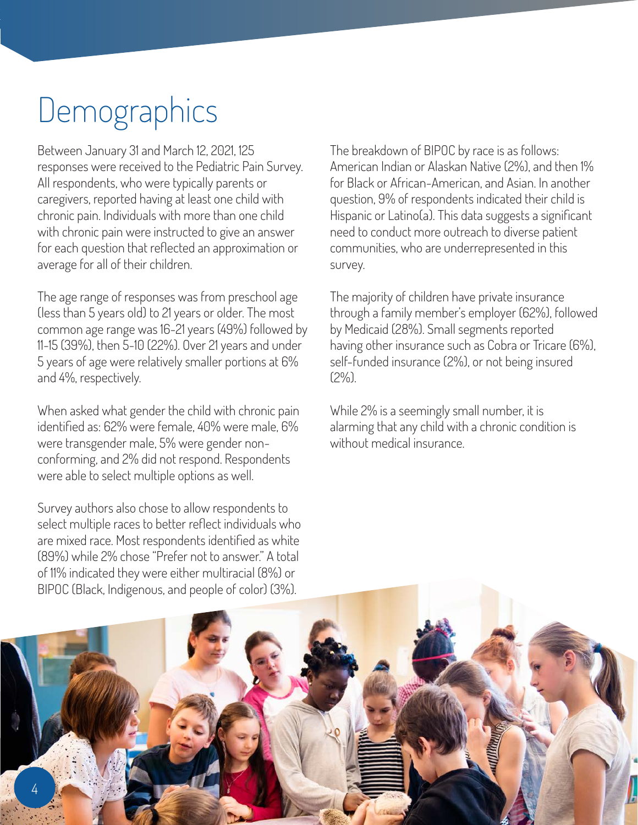# **Demographics**

Between January 31 and March 12, 2021, 125 responses were received to the Pediatric Pain Survey. All respondents, who were typically parents or caregivers, reported having at least one child with chronic pain. Individuals with more than one child with chronic pain were instructed to give an answer for each question that reflected an approximation or average for all of their children.

The age range of responses was from preschool age (less than 5 years old) to 21 years or older. The most common age range was 16-21 years (49%) followed by 11-15 (39%), then 5-10 (22%). Over 21 years and under 5 years of age were relatively smaller portions at 6% and 4%, respectively.

When asked what gender the child with chronic pain identified as: 62% were female, 40% were male, 6% were transgender male, 5% were gender nonconforming, and 2% did not respond. Respondents were able to select multiple options as well.

Survey authors also chose to allow respondents to select multiple races to better reflect individuals who are mixed race. Most respondents identified as white (89%) while 2% chose "Prefer not to answer." A total of 11% indicated they were either multiracial (8%) or BIPOC (Black, Indigenous, and people of color) (3%).

The breakdown of BIPOC by race is as follows: American Indian or Alaskan Native (2%), and then 1% for Black or African-American, and Asian. In another question, 9% of respondents indicated their child is Hispanic or Latino(a). This data suggests a significant need to conduct more outreach to diverse patient communities, who are underrepresented in this survey.

The majority of children have private insurance through a family member's employer (62%), followed by Medicaid (28%). Small segments reported having other insurance such as Cobra or Tricare (6%), self-funded insurance (2%), or not being insured (2%).

While 2% is a seemingly small number, it is alarming that any child with a chronic condition is without medical insurance.

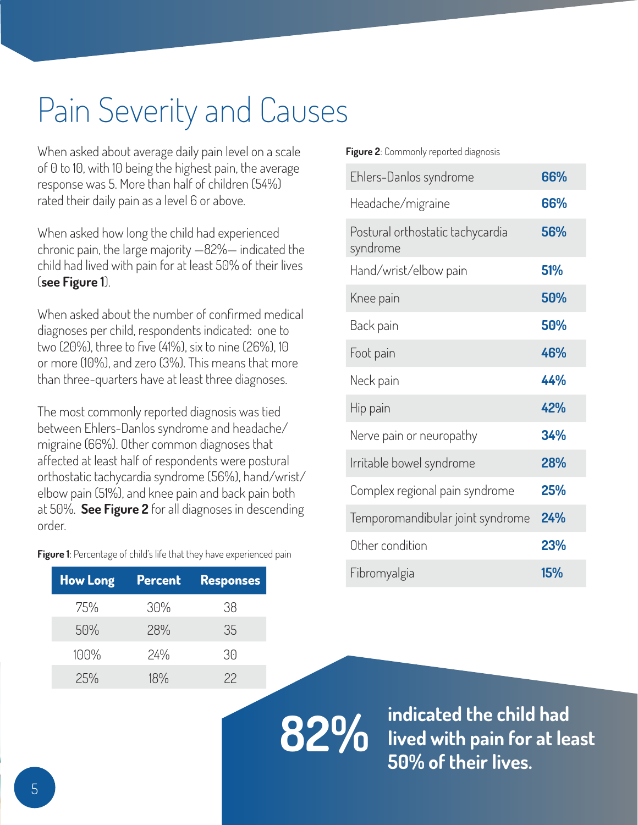# Pain Severity and Causes

When asked about average daily pain level on a scale of 0 to 10, with 10 being the highest pain, the average response was 5. More than half of children (54%) rated their daily pain as a level 6 or above.

When asked how long the child had experienced chronic pain, the large majority —82%— indicated the child had lived with pain for at least 50% of their lives (**see Figure 1**).

When asked about the number of confirmed medical diagnoses per child, respondents indicated: one to two (20%), three to five (41%), six to nine (26%), 10 or more (10%), and zero (3%). This means that more than three-quarters have at least three diagnoses.

The most commonly reported diagnosis was tied between Ehlers-Danlos syndrome and headache/ migraine (66%). Other common diagnoses that affected at least half of respondents were postural orthostatic tachycardia syndrome (56%), hand/wrist/ elbow pain (51%), and knee pain and back pain both at 50%. **See Figure 2** for all diagnoses in descending order.

Figure 1: Percentage of child's life that they have experienced pain

| <b>How Long</b> | <b>Percent</b> | <b>Responses</b> |
|-----------------|----------------|------------------|
| 75%             | 30%            | 38               |
| 50%             | 28%            | 35               |
| 100%            | 24%            | 30               |
| 25%             | 18%            | 22               |

**Figure 2**: Commonly reported diagnosis

| Ehlers-Danlos syndrome                       | 66% |
|----------------------------------------------|-----|
| Headache/migraine                            | 66% |
| Postural orthostatic tachycardia<br>syndrome | 56% |
| Hand/wrist/elbow pain                        | 51% |
| Knee pain                                    | 50% |
| Back pain                                    | 50% |
| Foot pain                                    | 46% |
| Neck pain                                    | 44% |
| Hip pain                                     | 42% |
| Nerve pain or neuropathy                     | 34% |
| Irritable bowel syndrome                     | 28% |
| Complex regional pain syndrome               | 25% |
| Temporomandibular joint syndrome             | 24% |
| Other condition                              | 23% |
| Fibromyalgia                                 | 15% |

**82% indicated the child had lived with pain for at least 50% of their lives.**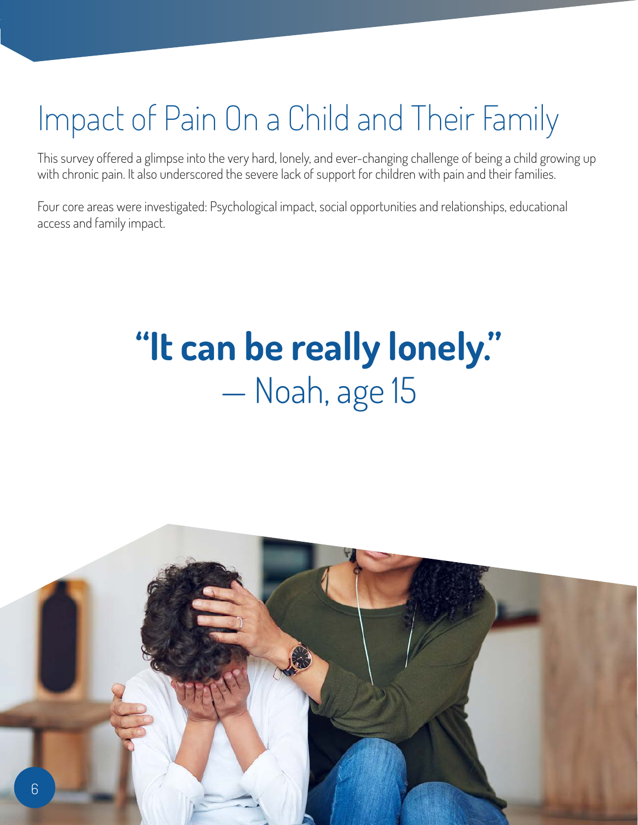# Impact of Pain On a Child and Their Family

This survey offered a glimpse into the very hard, lonely, and ever-changing challenge of being a child growing up with chronic pain. It also underscored the severe lack of support for children with pain and their families.

Four core areas were investigated: Psychological impact, social opportunities and relationships, educational access and family impact.

# **"It can be really lonely."**  — Noah, age 15

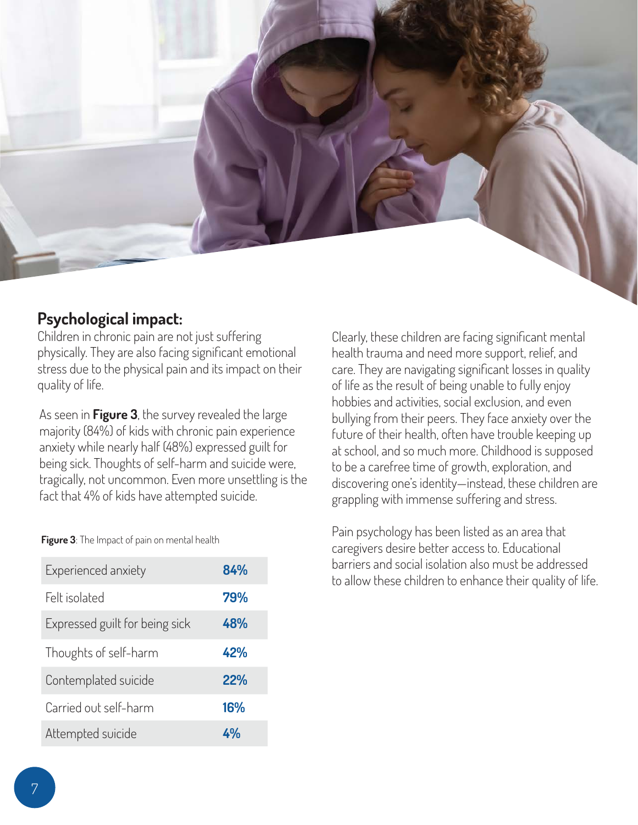

## **Psychological impact:**

Children in chronic pain are not just suffering physically. They are also facing significant emotional stress due to the physical pain and its impact on their quality of life.

As seen in **Figure 3**, the survey revealed the large majority (84%) of kids with chronic pain experience anxiety while nearly half (48%) expressed guilt for being sick. Thoughts of self-harm and suicide were, tragically, not uncommon. Even more unsettling is the fact that 4% of kids have attempted suicide.

Clearly, these children are facing significant mental health trauma and need more support, relief, and care. They are navigating significant losses in quality of life as the result of being unable to fully enjoy hobbies and activities, social exclusion, and even bullying from their peers. They face anxiety over the future of their health, often have trouble keeping up at school, and so much more. Childhood is supposed to be a carefree time of growth, exploration, and discovering one's identity—instead, these children are grappling with immense suffering and stress.

Pain psychology has been listed as an area that caregivers desire better access to. Educational barriers and social isolation also must be addressed to allow these children to enhance their quality of life.

**Figure 3**: The Impact of pain on mental health

| Experienced anxiety            | 84% |
|--------------------------------|-----|
| Felt isolated                  | 79% |
| Expressed guilt for being sick | 48% |
| Thoughts of self-harm          | 42% |
| Contemplated suicide           | 22% |
| Carried out self-harm          | 16% |
| Attempted suicide              |     |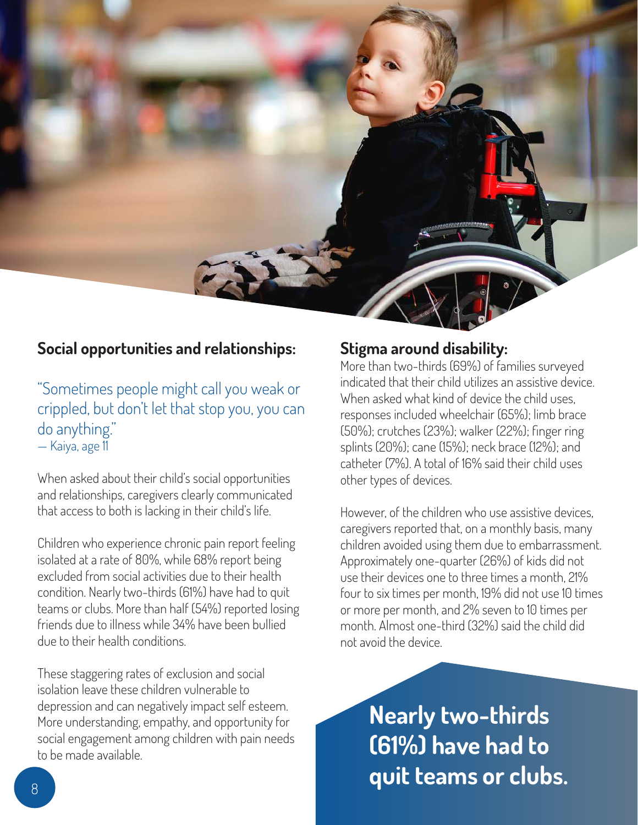

### **Social opportunities and relationships:**

"Sometimes people might call you weak or crippled, but don't let that stop you, you can do anything." — Kaiya, age 11

When asked about their child's social opportunities and relationships, caregivers clearly communicated that access to both is lacking in their child's life.

Children who experience chronic pain report feeling isolated at a rate of 80%, while 68% report being excluded from social activities due to their health condition. Nearly two-thirds (61%) have had to quit teams or clubs. More than half (54%) reported losing friends due to illness while 34% have been bullied due to their health conditions.

These staggering rates of exclusion and social isolation leave these children vulnerable to depression and can negatively impact self esteem. More understanding, empathy, and opportunity for social engagement among children with pain needs to be made available.

### **Stigma around disability:**

More than two-thirds (69%) of families surveyed indicated that their child utilizes an assistive device. When asked what kind of device the child uses responses included wheelchair (65%); limb brace (50%); crutches (23%); walker (22%); finger ring splints (20%); cane (15%); neck brace (12%); and catheter (7%). A total of 16% said their child uses other types of devices.

However, of the children who use assistive devices, caregivers reported that, on a monthly basis, many children avoided using them due to embarrassment. Approximately one-quarter (26%) of kids did not use their devices one to three times a month, 21% four to six times per month, 19% did not use 10 times or more per month, and 2% seven to 10 times per month. Almost one-third (32%) said the child did not avoid the device.

**Nearly two-thirds (61%) have had to duit teams or clubs.**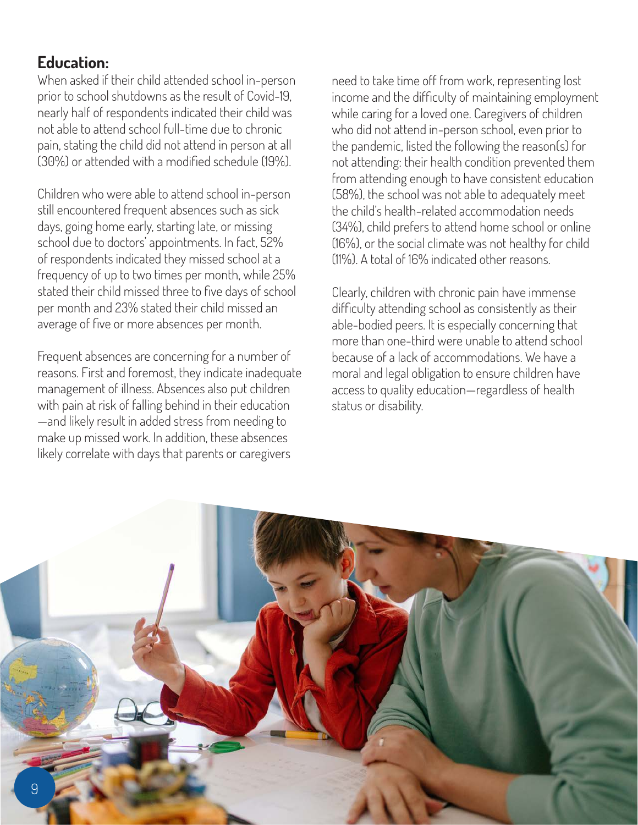# **Education:**

When asked if their child attended school in-person prior to school shutdowns as the result of Covid-19, nearly half of respondents indicated their child was not able to attend school full-time due to chronic pain, stating the child did not attend in person at all (30%) or attended with a modified schedule (19%).

Children who were able to attend school in-person still encountered frequent absences such as sick days, going home early, starting late, or missing school due to doctors' appointments. In fact, 52% of respondents indicated they missed school at a frequency of up to two times per month, while 25% stated their child missed three to five days of school per month and 23% stated their child missed an average of five or more absences per month.

Frequent absences are concerning for a number of reasons. First and foremost, they indicate inadequate management of illness. Absences also put children with pain at risk of falling behind in their education —and likely result in added stress from needing to make up missed work. In addition, these absences likely correlate with days that parents or caregivers

need to take time off from work, representing lost income and the difficulty of maintaining employment while caring for a loved one. Caregivers of children who did not attend in-person school, even prior to the pandemic, listed the following the reason(s) for not attending: their health condition prevented them from attending enough to have consistent education (58%), the school was not able to adequately meet the child's health-related accommodation needs (34%), child prefers to attend home school or online (16%), or the social climate was not healthy for child (11%). A total of 16% indicated other reasons.

Clearly, children with chronic pain have immense difficulty attending school as consistently as their able-bodied peers. It is especially concerning that more than one-third were unable to attend school because of a lack of accommodations. We have a moral and legal obligation to ensure children have access to quality education—regardless of health status or disability.

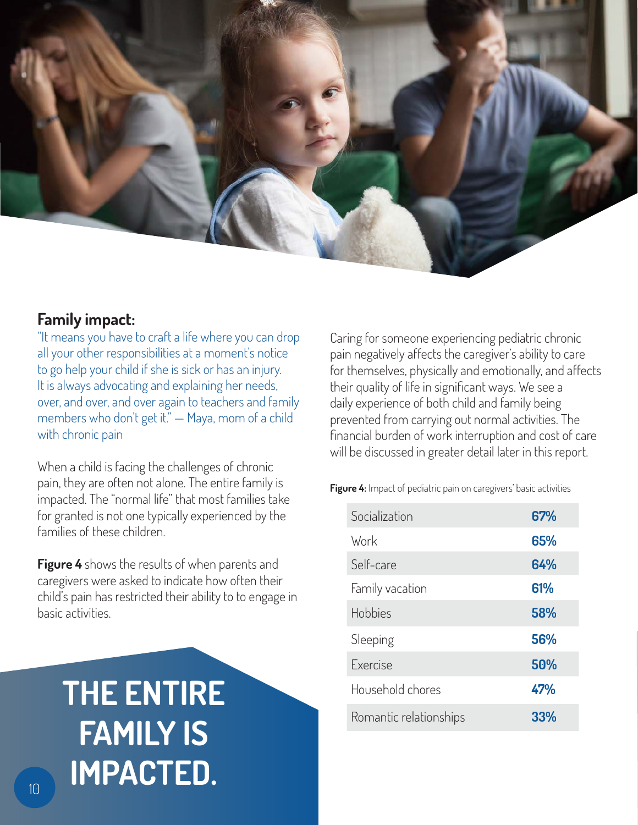

## **Family impact:**

"It means you have to craft a life where you can drop all your other responsibilities at a moment's notice to go help your child if she is sick or has an injury. It is always advocating and explaining her needs, over, and over, and over again to teachers and family members who don't get it." — Maya, mom of a child with chronic pain

When a child is facing the challenges of chronic pain, they are often not alone. The entire family is impacted. The "normal life" that most families take for granted is not one typically experienced by the families of these children.

**Figure 4** shows the results of when parents and caregivers were asked to indicate how often their child's pain has restricted their ability to to engage in basic activities.

# **THE ENTIRE FAMILY IS IMPACTED.**

Caring for someone experiencing pediatric chronic pain negatively affects the caregiver's ability to care for themselves, physically and emotionally, and affects their quality of life in significant ways. We see a daily experience of both child and family being prevented from carrying out normal activities. The financial burden of work interruption and cost of care will be discussed in greater detail later in this report.

**Figure 4:** Impact of pediatric pain on caregivers' basic activities

| Socialization          | 67%        |
|------------------------|------------|
| Work                   | 65%        |
| Self-care              | 64%        |
| Family vacation        | 61%        |
| Hobbies                | 58%        |
| Sleeping               | 56%        |
| <b>Fxercise</b>        | 50%        |
| Household chores       | 47%        |
| Romantic relationships | <b>33%</b> |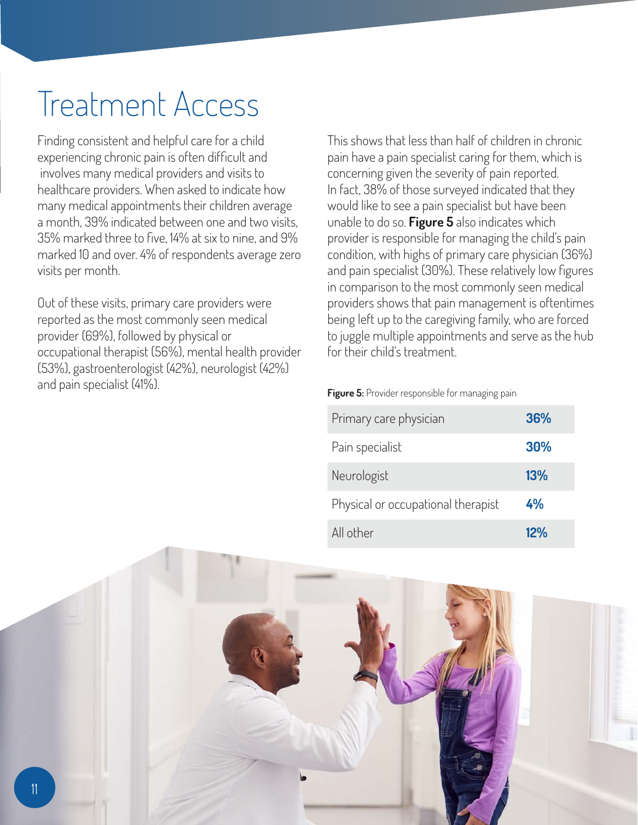# Treatment Access

Finding consistent and helpful care for a child experiencing chronic pain is often difficult and involves many medical providers and visits to healthcare providers. When asked to indicate how many medical appointments their children average a month, 39% indicated between one and two visits, 35% marked three to five, 14% at six to nine, and 9% marked 10 and over. 4% of respondents average zero visits per month.

Out of these visits, primary care providers were reported as the most commonly seen medical provider (69%), followed by physical or occupational therapist (56%), mental health provider (53%), gastroenterologist (42%), neurologist (42%) and pain specialist (41%).

This shows that less than half of children in chronic pain have a pain specialist caring for them, which is concerning given the severity of pain reported. In fact, 38% of those surveyed indicated that they would like to see a pain specialist but have been unable to do so. **Figure 5** also indicates which provider is responsible for managing the child's pain condition, with highs of primary care physician (36%) and pain specialist (30%). These relatively low figures in comparison to the most commonly seen medical providers shows that pain management is oftentimes being left up to the caregiving family, who are forced to juggle multiple appointments and serve as the hub for their child's treatment.

| Primary care physician             | 36% |
|------------------------------------|-----|
| Pain specialist                    | 30% |
| Neurologist                        | 13% |
| Physical or occupational therapist | 4%  |
| All other                          | 12% |

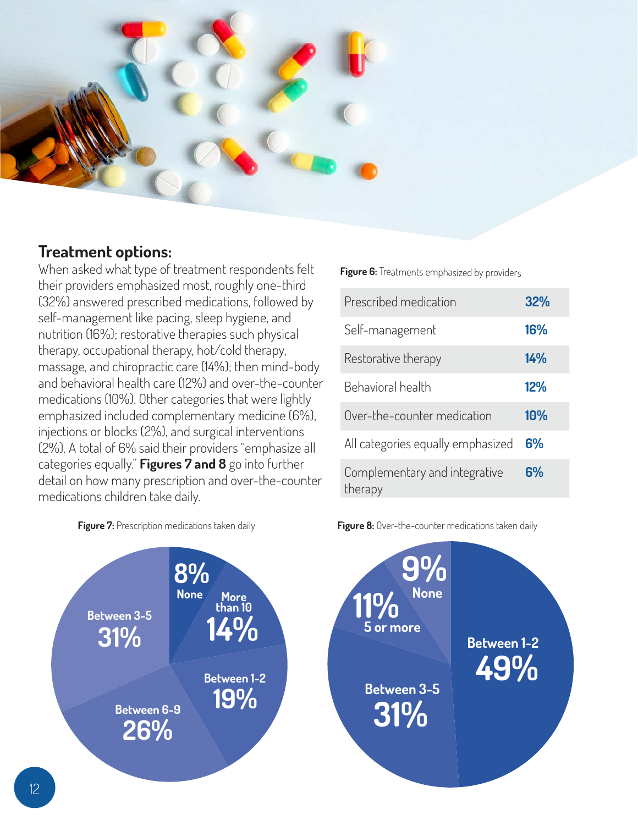

## **Treatment options:**

When asked what type of treatment respondents felt their providers emphasized most, roughly one-third (32%) answered prescribed medications, followed by self-management like pacing, sleep hygiene, and nutrition (16%); restorative therapies such physical therapy, occupational therapy, hot/cold therapy, massage, and chiropractic care (14%); then mind-body and behavioral health care (12%) and over-the-counter medications (10%). Other categories that were lightly emphasized included complementary medicine (6%), injections or blocks (2%), and surgical interventions (2%). A total of 6% said their providers "emphasize all categories equally." **Figures 7 and 8** go into further detail on how many prescription and over-the-counter medications children take daily.

**Figure 6:** Treatments emphasized by providers

| Prescribed medication                    | 32% |
|------------------------------------------|-----|
| Self-management                          | 16% |
| Restorative therapy                      | 14% |
| Behavioral health                        | 12% |
| Over-the-counter medication              | 10% |
| All categories equally emphasized        | 6%  |
| Complementary and integrative<br>therapy | 6%  |



**Figure 7:** Prescription medications taken daily **Figure 8:** Over-the-counter medications taken daily

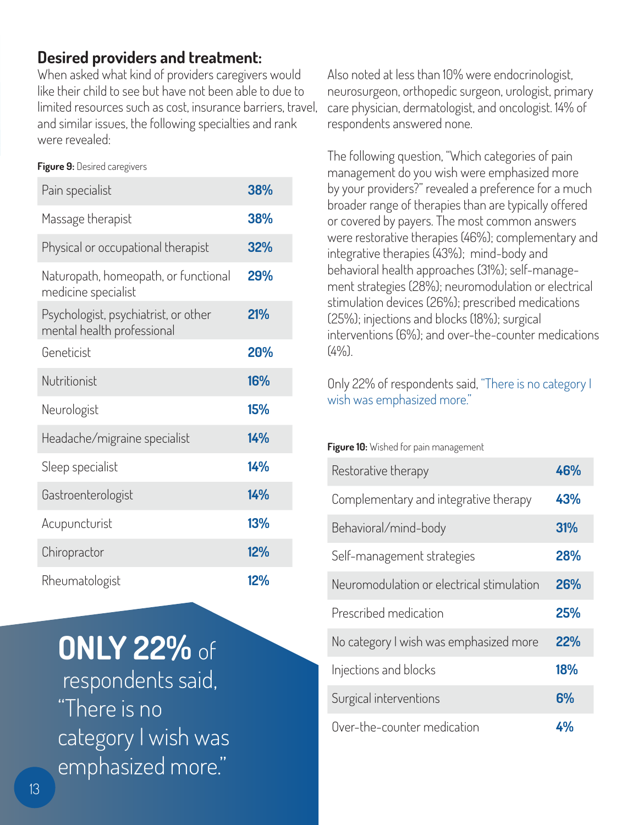# **Desired providers and treatment:**

When asked what kind of providers caregivers would like their child to see but have not been able to due to limited resources such as cost, insurance barriers, travel, and similar issues, the following specialties and rank were revealed:

### **Figure 9:** Desired caregivers

| Pain specialist                                                    | 38% |
|--------------------------------------------------------------------|-----|
| Massage therapist                                                  | 38% |
| Physical or occupational therapist                                 | 32% |
| Naturopath, homeopath, or functional<br>medicine specialist        | 29% |
| Psychologist, psychiatrist, or other<br>mental health professional | 21% |
| Geneticist                                                         | 20% |
| Nutritionist                                                       | 16% |
| Neurologist                                                        | 15% |
| Headache/migraine specialist                                       | 14% |
| Sleep specialist                                                   | 14% |
| Gastroenterologist                                                 | 14% |
| Acupuncturist                                                      | 13% |
| Chiropractor                                                       | 12% |
| Rheumatologist                                                     | 12% |

# **ONLY 22%** of

 respondents said, "There is no category I wish was emphasized more."

Also noted at less than 10% were endocrinologist, neurosurgeon, orthopedic surgeon, urologist, primary care physician, dermatologist, and oncologist. 14% of respondents answered none.

The following question, "Which categories of pain management do you wish were emphasized more by your providers?" revealed a preference for a much broader range of therapies than are typically offered or covered by payers. The most common answers were restorative therapies (46%); complementary and integrative therapies (43%); mind-body and behavioral health approaches (31%); self-management strategies (28%); neuromodulation or electrical stimulation devices (26%); prescribed medications (25%); injections and blocks (18%); surgical interventions (6%); and over-the-counter medications  $(4\%)$ .

Only 22% of respondents said, "There is no category I wish was emphasized more."

### **Figure 10:** Wished for pain management

| Restorative therapy                       | 46% |
|-------------------------------------------|-----|
| Complementary and integrative therapy     | 43% |
| Behavioral/mind-body                      | 31% |
| Self-management strategies                | 28% |
| Neuromodulation or electrical stimulation | 26% |
| Prescribed medication                     | 25% |
| No category I wish was emphasized more    | 22% |
| Injections and blocks                     | 18% |
| Surgical interventions                    | 6%  |
| Over-the-counter medication               | 4%  |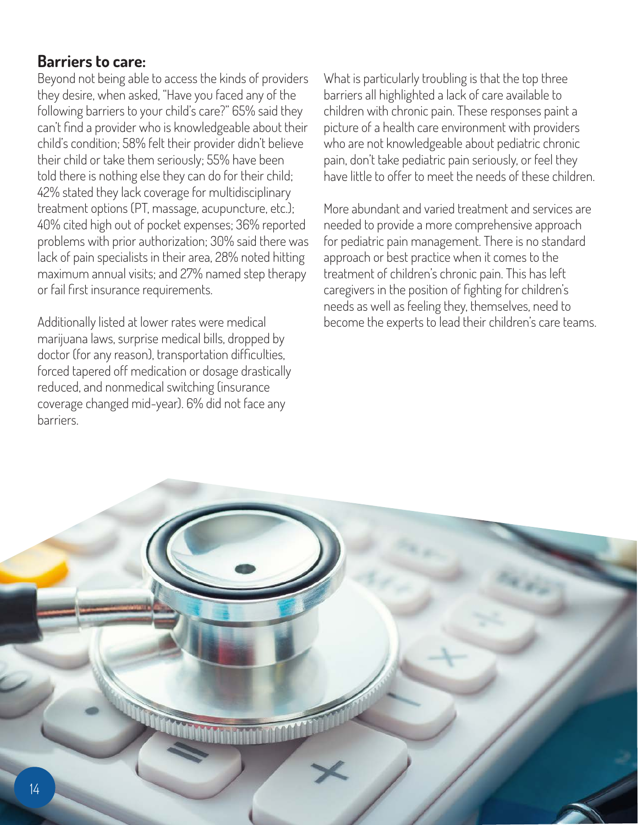## **Barriers to care:**

Beyond not being able to access the kinds of providers they desire, when asked, "Have you faced any of the following barriers to your child's care?" 65% said they can't find a provider who is knowledgeable about their child's condition; 58% felt their provider didn't believe their child or take them seriously; 55% have been told there is nothing else they can do for their child; 42% stated they lack coverage for multidisciplinary treatment options (PT, massage, acupuncture, etc.); 40% cited high out of pocket expenses; 36% reported problems with prior authorization; 30% said there was lack of pain specialists in their area, 28% noted hitting maximum annual visits; and 27% named step therapy or fail first insurance requirements.

Additionally listed at lower rates were medical marijuana laws, surprise medical bills, dropped by doctor (for any reason), transportation difficulties, forced tapered off medication or dosage drastically reduced, and nonmedical switching (insurance coverage changed mid-year). 6% did not face any barriers.

What is particularly troubling is that the top three barriers all highlighted a lack of care available to children with chronic pain. These responses paint a picture of a health care environment with providers who are not knowledgeable about pediatric chronic pain, don't take pediatric pain seriously, or feel they have little to offer to meet the needs of these children.

More abundant and varied treatment and services are needed to provide a more comprehensive approach for pediatric pain management. There is no standard approach or best practice when it comes to the treatment of children's chronic pain. This has left caregivers in the position of fighting for children's needs as well as feeling they, themselves, need to become the experts to lead their children's care teams.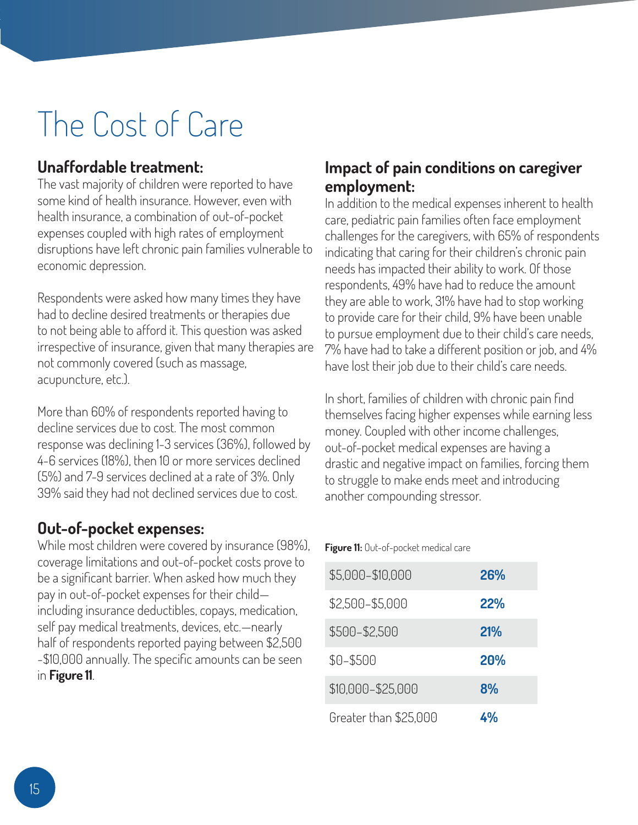# The Cost of Care

# **Unaffordable treatment:**

The vast majority of children were reported to have some kind of health insurance. However, even with health insurance, a combination of out-of-pocket expenses coupled with high rates of employment disruptions have left chronic pain families vulnerable to economic depression.

Respondents were asked how many times they have had to decline desired treatments or therapies due to not being able to afford it. This question was asked irrespective of insurance, given that many therapies are not commonly covered (such as massage, acupuncture, etc.).

More than 60% of respondents reported having to decline services due to cost. The most common response was declining 1-3 services (36%), followed by 4-6 services (18%), then 10 or more services declined (5%) and 7-9 services declined at a rate of 3%. Only 39% said they had not declined services due to cost.

# **Out-of-pocket expenses:**

While most children were covered by insurance (98%), coverage limitations and out-of-pocket costs prove to be a significant barrier. When asked how much they pay in out-of-pocket expenses for their child including insurance deductibles, copays, medication, self pay medical treatments, devices, etc.—nearly half of respondents reported paying between \$2,500 -\$10,000 annually. The specific amounts can be seen in **Figure 11**.

## **Impact of pain conditions on caregiver employment:**

In addition to the medical expenses inherent to health care, pediatric pain families often face employment challenges for the caregivers, with 65% of respondents indicating that caring for their children's chronic pain needs has impacted their ability to work. Of those respondents, 49% have had to reduce the amount they are able to work, 31% have had to stop working to provide care for their child, 9% have been unable to pursue employment due to their child's care needs, 7% have had to take a different position or job, and 4% have lost their job due to their child's care needs.

In short, families of children with chronic pain find themselves facing higher expenses while earning less money. Coupled with other income challenges, out-of-pocket medical expenses are having a drastic and negative impact on families, forcing them to struggle to make ends meet and introducing another compounding stressor.

### **Figure 11:** Out-of-pocket medical care

| \$5,000-\$10,000      | 26% |
|-----------------------|-----|
| \$2,500-\$5,000       | 22% |
| \$500-\$2,500         | 21% |
| \$0-\$500             | 20% |
| \$10,000-\$25,000     | 8%  |
| Greater than \$25,000 | 4%  |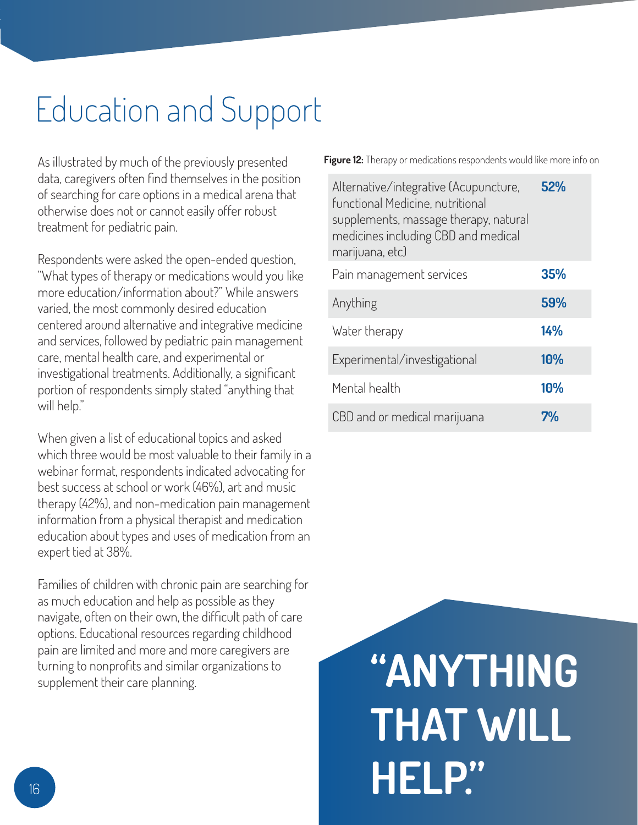# Education and Support

As illustrated by much of the previously presented data, caregivers often find themselves in the position of searching for care options in a medical arena that otherwise does not or cannot easily offer robust treatment for pediatric pain.

Respondents were asked the open-ended question, "What types of therapy or medications would you like more education/information about?" While answers varied, the most commonly desired education centered around alternative and integrative medicine and services, followed by pediatric pain management care, mental health care, and experimental or investigational treatments. Additionally, a significant portion of respondents simply stated "anything that will help."

When given a list of educational topics and asked which three would be most valuable to their family in a webinar format, respondents indicated advocating for best success at school or work (46%), art and music therapy (42%), and non-medication pain management information from a physical therapist and medication education about types and uses of medication from an expert tied at 38%.

Families of children with chronic pain are searching for as much education and help as possible as they navigate, often on their own, the difficult path of care options. Educational resources regarding childhood pain are limited and more and more caregivers are turning to nonprofits and similar organizations to supplement their care planning.

**Figure 12:** Therapy or medications respondents would like more info on

| Alternative/integrative (Acupuncture,<br>functional Medicine, nutritional<br>supplements, massage therapy, natural<br>medicines including CBD and medical<br>marijuana, etc) | 52% |
|------------------------------------------------------------------------------------------------------------------------------------------------------------------------------|-----|
| Pain management services                                                                                                                                                     | 35% |
| Anything                                                                                                                                                                     | 59% |
| Water therapy                                                                                                                                                                | 14% |
| Experimental/investigational                                                                                                                                                 | 10% |
| Mental health                                                                                                                                                                | 10% |
| CBD and or medical marijuana                                                                                                                                                 | 7%  |

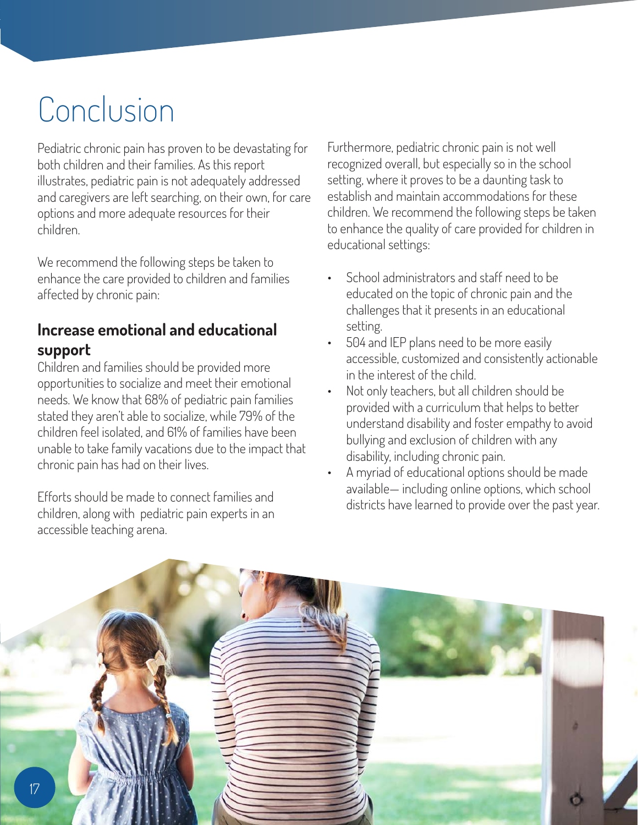# Conclusion

Pediatric chronic pain has proven to be devastating for both children and their families. As this report illustrates, pediatric pain is not adequately addressed and caregivers are left searching, on their own, for care options and more adequate resources for their children.

We recommend the following steps be taken to enhance the care provided to children and families affected by chronic pain:

## **Increase emotional and educational support**

Children and families should be provided more opportunities to socialize and meet their emotional needs. We know that 68% of pediatric pain families stated they aren't able to socialize, while 79% of the children feel isolated, and 61% of families have been unable to take family vacations due to the impact that chronic pain has had on their lives.

Efforts should be made to connect families and children, along with pediatric pain experts in an accessible teaching arena.

Furthermore, pediatric chronic pain is not well recognized overall, but especially so in the school setting, where it proves to be a daunting task to establish and maintain accommodations for these children. We recommend the following steps be taken to enhance the quality of care provided for children in educational settings:

- School administrators and staff need to be educated on the topic of chronic pain and the challenges that it presents in an educational setting.
- 504 and IEP plans need to be more easily accessible, customized and consistently actionable in the interest of the child.
- Not only teachers, but all children should be provided with a curriculum that helps to better understand disability and foster empathy to avoid bullying and exclusion of children with any disability, including chronic pain.
- A myriad of educational options should be made available— including online options, which school districts have learned to provide over the past year.